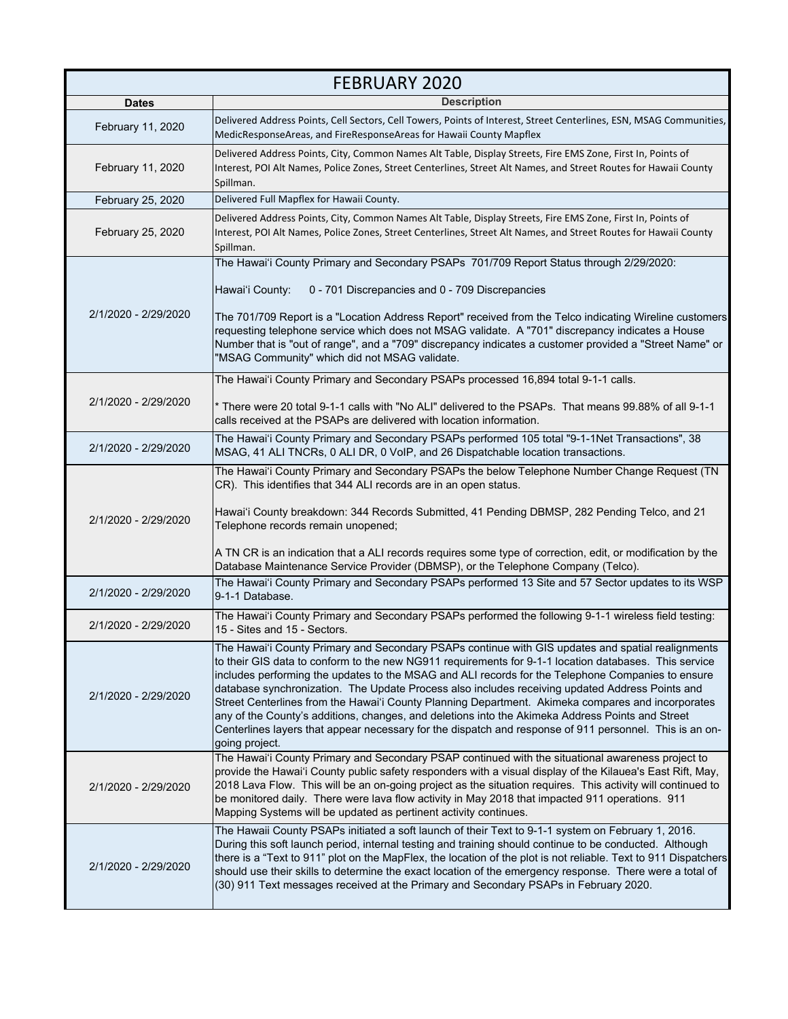| <b>FEBRUARY 2020</b> |                                                                                                                                                                                                                                                                                                                                                                                                                                                                                                                                                                                                                                                                                                                                                          |
|----------------------|----------------------------------------------------------------------------------------------------------------------------------------------------------------------------------------------------------------------------------------------------------------------------------------------------------------------------------------------------------------------------------------------------------------------------------------------------------------------------------------------------------------------------------------------------------------------------------------------------------------------------------------------------------------------------------------------------------------------------------------------------------|
| <b>Dates</b>         | <b>Description</b>                                                                                                                                                                                                                                                                                                                                                                                                                                                                                                                                                                                                                                                                                                                                       |
| February 11, 2020    | Delivered Address Points, Cell Sectors, Cell Towers, Points of Interest, Street Centerlines, ESN, MSAG Communities,<br>MedicResponseAreas, and FireResponseAreas for Hawaii County Mapflex                                                                                                                                                                                                                                                                                                                                                                                                                                                                                                                                                               |
| February 11, 2020    | Delivered Address Points, City, Common Names Alt Table, Display Streets, Fire EMS Zone, First In, Points of<br>Interest, POI Alt Names, Police Zones, Street Centerlines, Street Alt Names, and Street Routes for Hawaii County<br>Spillman.                                                                                                                                                                                                                                                                                                                                                                                                                                                                                                             |
| February 25, 2020    | Delivered Full Mapflex for Hawaii County.                                                                                                                                                                                                                                                                                                                                                                                                                                                                                                                                                                                                                                                                                                                |
| February 25, 2020    | Delivered Address Points, City, Common Names Alt Table, Display Streets, Fire EMS Zone, First In, Points of<br>Interest, POI Alt Names, Police Zones, Street Centerlines, Street Alt Names, and Street Routes for Hawaii County<br>Spillman.                                                                                                                                                                                                                                                                                                                                                                                                                                                                                                             |
| 2/1/2020 - 2/29/2020 | The Hawai'i County Primary and Secondary PSAPs 701/709 Report Status through 2/29/2020:<br>Hawai'i County:<br>0 - 701 Discrepancies and 0 - 709 Discrepancies<br>The 701/709 Report is a "Location Address Report" received from the Telco indicating Wireline customers<br>requesting telephone service which does not MSAG validate. A "701" discrepancy indicates a House<br>Number that is "out of range", and a "709" discrepancy indicates a customer provided a "Street Name" or<br>"MSAG Community" which did not MSAG validate.                                                                                                                                                                                                                 |
| 2/1/2020 - 2/29/2020 | The Hawai'i County Primary and Secondary PSAPs processed 16,894 total 9-1-1 calls.<br>* There were 20 total 9-1-1 calls with "No ALI" delivered to the PSAPs. That means 99.88% of all 9-1-1 *<br>calls received at the PSAPs are delivered with location information.                                                                                                                                                                                                                                                                                                                                                                                                                                                                                   |
| 2/1/2020 - 2/29/2020 | The Hawai'i County Primary and Secondary PSAPs performed 105 total "9-1-1Net Transactions", 38<br>MSAG, 41 ALI TNCRs, 0 ALI DR, 0 VoIP, and 26 Dispatchable location transactions.                                                                                                                                                                                                                                                                                                                                                                                                                                                                                                                                                                       |
| 2/1/2020 - 2/29/2020 | The Hawai'i County Primary and Secondary PSAPs the below Telephone Number Change Request (TN<br>CR). This identifies that 344 ALI records are in an open status.<br>Hawai'i County breakdown: 344 Records Submitted, 41 Pending DBMSP, 282 Pending Telco, and 21<br>Telephone records remain unopened;<br>A TN CR is an indication that a ALI records requires some type of correction, edit, or modification by the<br>Database Maintenance Service Provider (DBMSP), or the Telephone Company (Telco).                                                                                                                                                                                                                                                 |
| 2/1/2020 - 2/29/2020 | The Hawai'i County Primary and Secondary PSAPs performed 13 Site and 57 Sector updates to its WSP<br>9-1-1 Database.                                                                                                                                                                                                                                                                                                                                                                                                                                                                                                                                                                                                                                     |
| 2/1/2020 - 2/29/2020 | The Hawai'i County Primary and Secondary PSAPs performed the following 9-1-1 wireless field testing:<br>15 - Sites and 15 - Sectors.                                                                                                                                                                                                                                                                                                                                                                                                                                                                                                                                                                                                                     |
| 2/1/2020 - 2/29/2020 | The Hawai'i County Primary and Secondary PSAPs continue with GIS updates and spatial realignments<br>to their GIS data to conform to the new NG911 requirements for 9-1-1 location databases. This service<br>includes performing the updates to the MSAG and ALI records for the Telephone Companies to ensure<br>database synchronization. The Update Process also includes receiving updated Address Points and<br>Street Centerlines from the Hawai'i County Planning Department. Akimeka compares and incorporates<br>any of the County's additions, changes, and deletions into the Akimeka Address Points and Street<br>Centerlines layers that appear necessary for the dispatch and response of 911 personnel. This is an on-<br>going project. |
| 2/1/2020 - 2/29/2020 | The Hawai'i County Primary and Secondary PSAP continued with the situational awareness project to<br>provide the Hawai'i County public safety responders with a visual display of the Kilauea's East Rift, May,<br>2018 Lava Flow. This will be an on-going project as the situation requires. This activity will continued to<br>be monitored daily. There were lava flow activity in May 2018 that impacted 911 operations. 911<br>Mapping Systems will be updated as pertinent activity continues.                                                                                                                                                                                                                                                    |
| 2/1/2020 - 2/29/2020 | The Hawaii County PSAPs initiated a soft launch of their Text to 9-1-1 system on February 1, 2016.<br>During this soft launch period, internal testing and training should continue to be conducted. Although<br>there is a "Text to 911" plot on the MapFlex, the location of the plot is not reliable. Text to 911 Dispatchers<br>should use their skills to determine the exact location of the emergency response. There were a total of<br>(30) 911 Text messages received at the Primary and Secondary PSAPs in February 2020.                                                                                                                                                                                                                     |